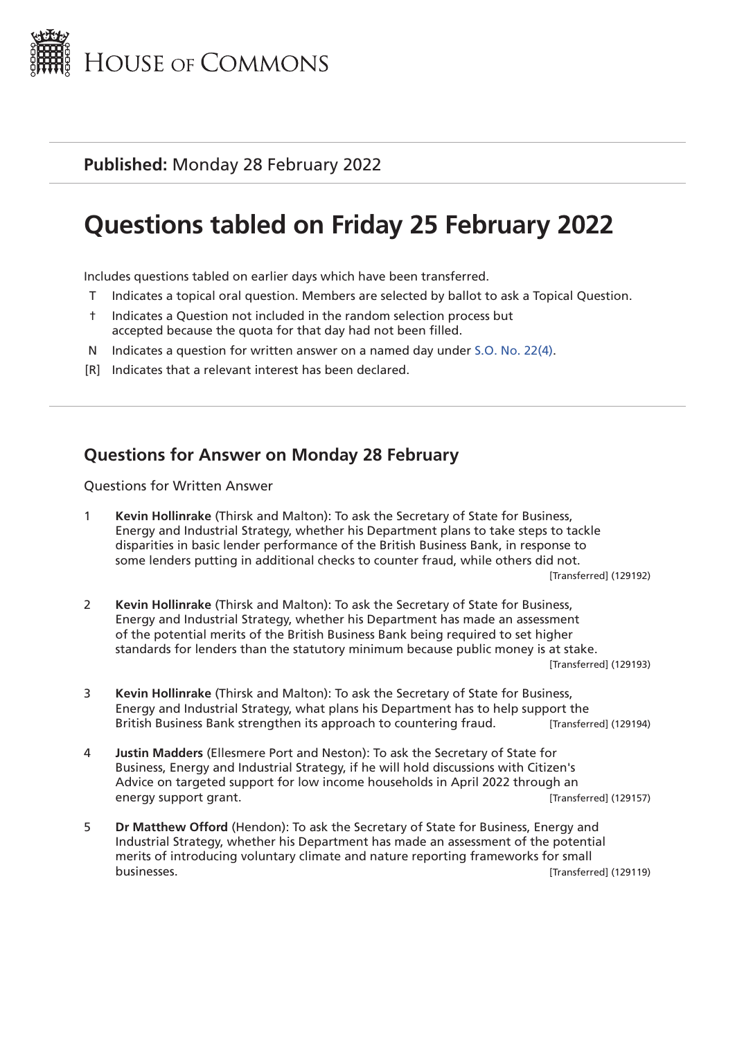

# **Questions tabled on Friday 25 February 2022**

Includes questions tabled on earlier days which have been transferred.

- T Indicates a topical oral question. Members are selected by ballot to ask a Topical Question.
- † Indicates a Question not included in the random selection process but accepted because the quota for that day had not been filled.
- N Indicates a question for written answer on a named day under [S.O. No. 22\(4\).](http://publications.parliament.uk/pa/cm201719/cmstords/0004/body.html#22(4))
- [R] Indicates that a relevant interest has been declared.

# **Questions for Answer on Monday 28 February**

Questions for Written Answer

1 **Kevin Hollinrake** (Thirsk and Malton): To ask the Secretary of State for Business, Energy and Industrial Strategy, whether his Department plans to take steps to tackle disparities in basic lender performance of the British Business Bank, in response to some lenders putting in additional checks to counter fraud, while others did not.

[Transferred] (129192)

- 2 **Kevin Hollinrake** (Thirsk and Malton): To ask the Secretary of State for Business, Energy and Industrial Strategy, whether his Department has made an assessment of the potential merits of the British Business Bank being required to set higher standards for lenders than the statutory minimum because public money is at stake. [Transferred] (129193)
- 3 **Kevin Hollinrake** (Thirsk and Malton): To ask the Secretary of State for Business, Energy and Industrial Strategy, what plans his Department has to help support the British Business Bank strengthen its approach to countering fraud. [Transferred] (129194)
- 4 **Justin Madders** (Ellesmere Port and Neston): To ask the Secretary of State for Business, Energy and Industrial Strategy, if he will hold discussions with Citizen's Advice on targeted support for low income households in April 2022 through an energy support grant. The contract of the contract of the contract of the contract of the contract of the contract of the contract of the contract of the contract of the contract of the contract of the contract of the cont
- 5 **Dr Matthew Offord** (Hendon): To ask the Secretary of State for Business, Energy and Industrial Strategy, whether his Department has made an assessment of the potential merits of introducing voluntary climate and nature reporting frameworks for small businesses. [Transferred] (129119)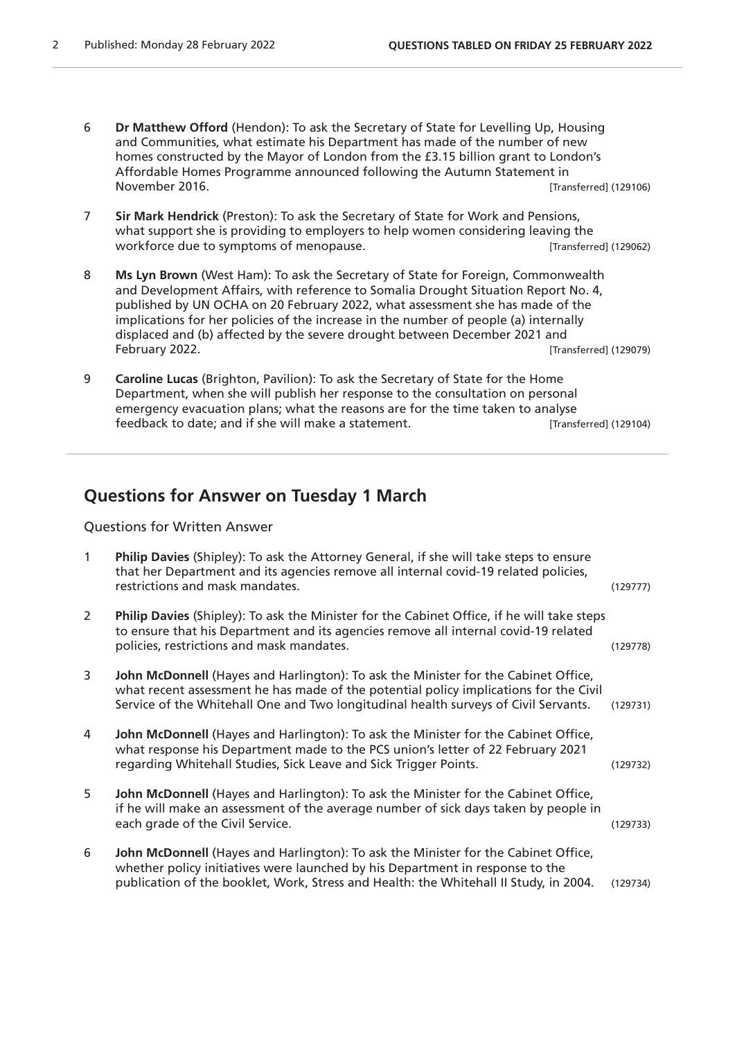- 6 **Dr Matthew Offord** (Hendon): To ask the Secretary of State for Levelling Up, Housing and Communities, what estimate his Department has made of the number of new homes constructed by the Mayor of London from the £3.15 billion grant to London's Affordable Homes Programme announced following the Autumn Statement in November 2016. [Transferred] (129106)
- 7 **Sir Mark Hendrick** (Preston): To ask the Secretary of State for Work and Pensions, what support she is providing to employers to help women considering leaving the workforce due to symptoms of menopause. The state of the symptoms of menopause. Transferred (129062)
- 8 **Ms Lyn Brown** (West Ham): To ask the Secretary of State for Foreign, Commonwealth and Development Affairs, with reference to Somalia Drought Situation Report No. 4, published by UN OCHA on 20 February 2022, what assessment she has made of the implications for her policies of the increase in the number of people (a) internally displaced and (b) affected by the severe drought between December 2021 and February 2022. [Transferred] (129079)
- 9 **Caroline Lucas** (Brighton, Pavilion): To ask the Secretary of State for the Home Department, when she will publish her response to the consultation on personal emergency evacuation plans; what the reasons are for the time taken to analyse feedback to date; and if she will make a statement. [Transferred] (129104)

## **Questions for Answer on Tuesday 1 March**

Questions for Written Answer

| $\mathbf{1}$ | Philip Davies (Shipley): To ask the Attorney General, if she will take steps to ensure<br>that her Department and its agencies remove all internal covid-19 related policies,<br>restrictions and mask mandates.                                                   | (129777) |
|--------------|--------------------------------------------------------------------------------------------------------------------------------------------------------------------------------------------------------------------------------------------------------------------|----------|
| 2            | Philip Davies (Shipley): To ask the Minister for the Cabinet Office, if he will take steps<br>to ensure that his Department and its agencies remove all internal covid-19 related<br>policies, restrictions and mask mandates.                                     | (129778) |
| 3            | John McDonnell (Hayes and Harlington): To ask the Minister for the Cabinet Office,<br>what recent assessment he has made of the potential policy implications for the Civil<br>Service of the Whitehall One and Two longitudinal health surveys of Civil Servants. | (129731) |
| 4            | John McDonnell (Hayes and Harlington): To ask the Minister for the Cabinet Office,<br>what response his Department made to the PCS union's letter of 22 February 2021<br>regarding Whitehall Studies, Sick Leave and Sick Trigger Points.                          | (129732) |
| 5            | John McDonnell (Hayes and Harlington): To ask the Minister for the Cabinet Office,<br>if he will make an assessment of the average number of sick days taken by people in<br>each grade of the Civil Service.                                                      | (129733) |
| 6            | John McDonnell (Hayes and Harlington): To ask the Minister for the Cabinet Office,<br>whether policy initiatives were launched by his Department in response to the<br>publication of the booklet, Work, Stress and Health: the Whitehall II Study, in 2004.       | (129734) |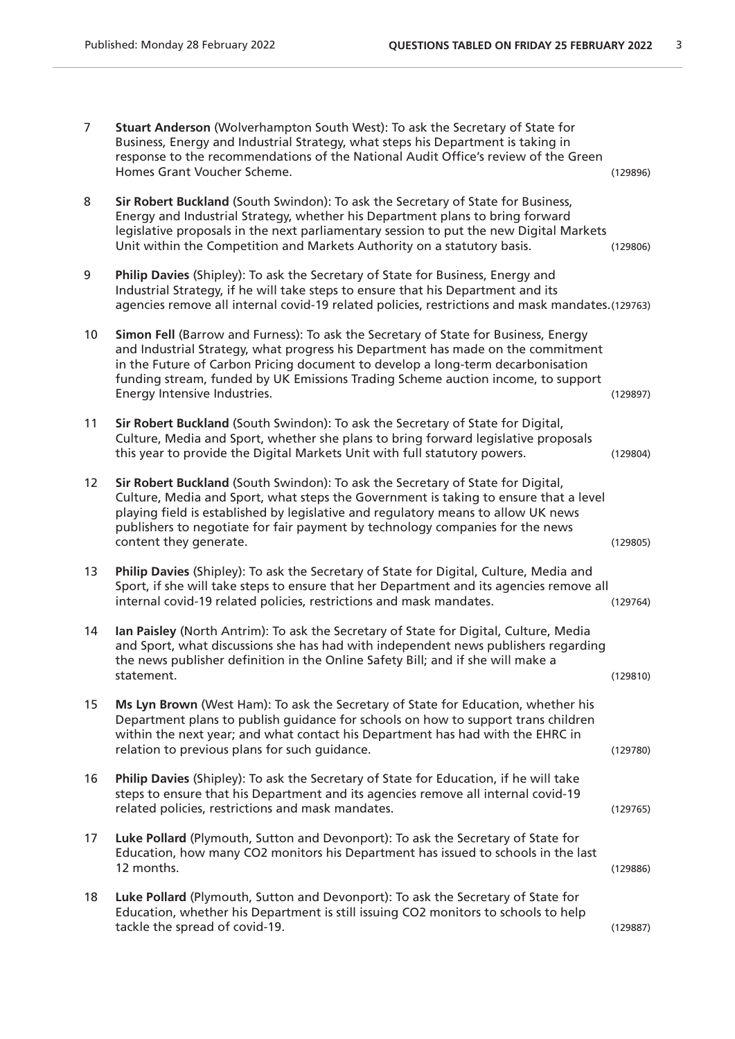| $\overline{7}$ | Stuart Anderson (Wolverhampton South West): To ask the Secretary of State for<br>Business, Energy and Industrial Strategy, what steps his Department is taking in<br>response to the recommendations of the National Audit Office's review of the Green<br>Homes Grant Voucher Scheme.                                                                                         | (129896) |
|----------------|--------------------------------------------------------------------------------------------------------------------------------------------------------------------------------------------------------------------------------------------------------------------------------------------------------------------------------------------------------------------------------|----------|
| 8              | Sir Robert Buckland (South Swindon): To ask the Secretary of State for Business,<br>Energy and Industrial Strategy, whether his Department plans to bring forward<br>legislative proposals in the next parliamentary session to put the new Digital Markets<br>Unit within the Competition and Markets Authority on a statutory basis.                                         | (129806) |
| 9              | Philip Davies (Shipley): To ask the Secretary of State for Business, Energy and<br>Industrial Strategy, if he will take steps to ensure that his Department and its<br>agencies remove all internal covid-19 related policies, restrictions and mask mandates.(129763)                                                                                                         |          |
| 10             | Simon Fell (Barrow and Furness): To ask the Secretary of State for Business, Energy<br>and Industrial Strategy, what progress his Department has made on the commitment<br>in the Future of Carbon Pricing document to develop a long-term decarbonisation<br>funding stream, funded by UK Emissions Trading Scheme auction income, to support<br>Energy Intensive Industries. | (129897) |
| 11             | Sir Robert Buckland (South Swindon): To ask the Secretary of State for Digital,<br>Culture, Media and Sport, whether she plans to bring forward legislative proposals<br>this year to provide the Digital Markets Unit with full statutory powers.                                                                                                                             | (129804) |
| 12             | Sir Robert Buckland (South Swindon): To ask the Secretary of State for Digital,<br>Culture, Media and Sport, what steps the Government is taking to ensure that a level<br>playing field is established by legislative and regulatory means to allow UK news<br>publishers to negotiate for fair payment by technology companies for the news<br>content they generate.        | (129805) |
| 13             | Philip Davies (Shipley): To ask the Secretary of State for Digital, Culture, Media and<br>Sport, if she will take steps to ensure that her Department and its agencies remove all<br>internal covid-19 related policies, restrictions and mask mandates.                                                                                                                       | (129764) |
| 14             | Ian Paisley (North Antrim): To ask the Secretary of State for Digital, Culture, Media<br>and Sport, what discussions she has had with independent news publishers regarding<br>the news publisher definition in the Online Safety Bill; and if she will make a<br>statement.                                                                                                   | (129810) |
| 15             | Ms Lyn Brown (West Ham): To ask the Secretary of State for Education, whether his<br>Department plans to publish guidance for schools on how to support trans children<br>within the next year; and what contact his Department has had with the EHRC in<br>relation to previous plans for such guidance.                                                                      | (129780) |
| 16             | Philip Davies (Shipley): To ask the Secretary of State for Education, if he will take<br>steps to ensure that his Department and its agencies remove all internal covid-19<br>related policies, restrictions and mask mandates.                                                                                                                                                | (129765) |
| 17             | Luke Pollard (Plymouth, Sutton and Devonport): To ask the Secretary of State for<br>Education, how many CO2 monitors his Department has issued to schools in the last<br>12 months.                                                                                                                                                                                            | (129886) |
| 18             | Luke Pollard (Plymouth, Sutton and Devonport): To ask the Secretary of State for<br>Education, whether his Department is still issuing CO2 monitors to schools to help<br>tackle the spread of covid-19.                                                                                                                                                                       | (129887) |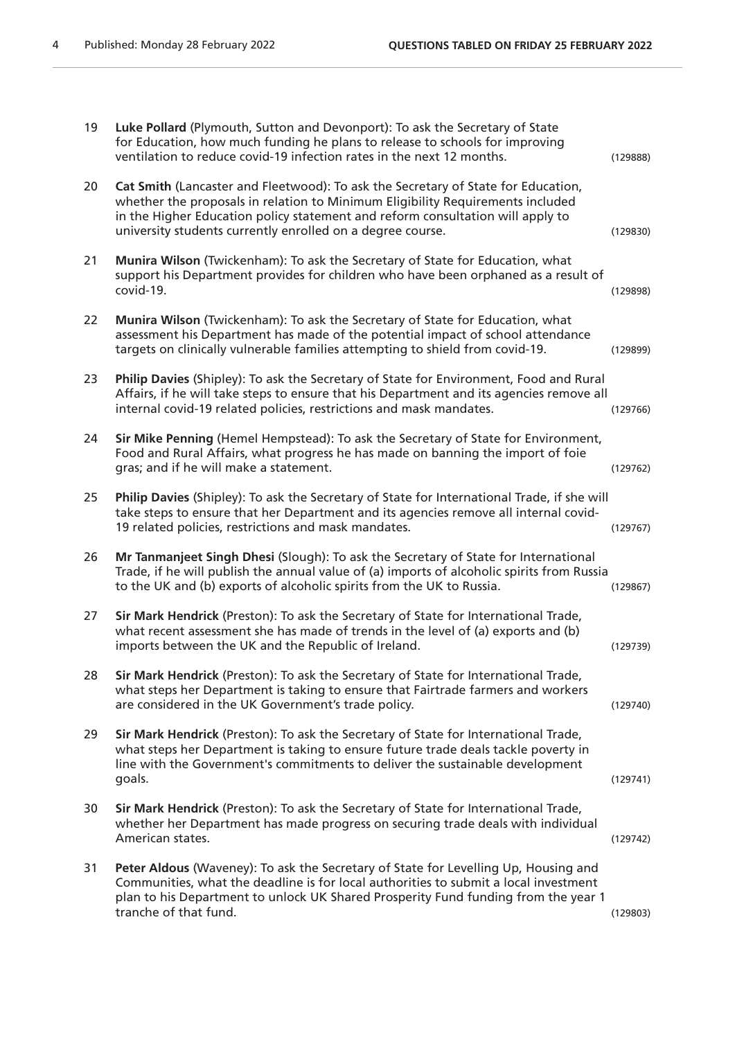| 19 | Luke Pollard (Plymouth, Sutton and Devonport): To ask the Secretary of State<br>for Education, how much funding he plans to release to schools for improving<br>ventilation to reduce covid-19 infection rates in the next 12 months.                                                                               | (129888) |
|----|---------------------------------------------------------------------------------------------------------------------------------------------------------------------------------------------------------------------------------------------------------------------------------------------------------------------|----------|
| 20 | Cat Smith (Lancaster and Fleetwood): To ask the Secretary of State for Education,<br>whether the proposals in relation to Minimum Eligibility Requirements included<br>in the Higher Education policy statement and reform consultation will apply to<br>university students currently enrolled on a degree course. | (129830) |
| 21 | Munira Wilson (Twickenham): To ask the Secretary of State for Education, what<br>support his Department provides for children who have been orphaned as a result of<br>covid-19.                                                                                                                                    | (129898) |
| 22 | Munira Wilson (Twickenham): To ask the Secretary of State for Education, what<br>assessment his Department has made of the potential impact of school attendance<br>targets on clinically vulnerable families attempting to shield from covid-19.                                                                   | (129899) |
| 23 | Philip Davies (Shipley): To ask the Secretary of State for Environment, Food and Rural<br>Affairs, if he will take steps to ensure that his Department and its agencies remove all<br>internal covid-19 related policies, restrictions and mask mandates.                                                           | (129766) |
| 24 | Sir Mike Penning (Hemel Hempstead): To ask the Secretary of State for Environment,<br>Food and Rural Affairs, what progress he has made on banning the import of foie<br>gras; and if he will make a statement.                                                                                                     | (129762) |
| 25 | Philip Davies (Shipley): To ask the Secretary of State for International Trade, if she will<br>take steps to ensure that her Department and its agencies remove all internal covid-<br>19 related policies, restrictions and mask mandates.                                                                         | (129767) |
| 26 | Mr Tanmanjeet Singh Dhesi (Slough): To ask the Secretary of State for International<br>Trade, if he will publish the annual value of (a) imports of alcoholic spirits from Russia<br>to the UK and (b) exports of alcoholic spirits from the UK to Russia.                                                          | (129867) |
| 27 | Sir Mark Hendrick (Preston): To ask the Secretary of State for International Trade,<br>what recent assessment she has made of trends in the level of (a) exports and (b)<br>imports between the UK and the Republic of Ireland.                                                                                     | (129739) |
| 28 | Sir Mark Hendrick (Preston): To ask the Secretary of State for International Trade,<br>what steps her Department is taking to ensure that Fairtrade farmers and workers<br>are considered in the UK Government's trade policy.                                                                                      | (129740) |
| 29 | Sir Mark Hendrick (Preston): To ask the Secretary of State for International Trade,<br>what steps her Department is taking to ensure future trade deals tackle poverty in<br>line with the Government's commitments to deliver the sustainable development<br>goals.                                                | (129741) |
| 30 | Sir Mark Hendrick (Preston): To ask the Secretary of State for International Trade,<br>whether her Department has made progress on securing trade deals with individual<br>American states.                                                                                                                         | (129742) |
| 31 | Peter Aldous (Waveney): To ask the Secretary of State for Levelling Up, Housing and<br>Communities, what the deadline is for local authorities to submit a local investment<br>plan to his Department to unlock UK Shared Prosperity Fund funding from the year 1<br>tranche of that fund.                          | (129803) |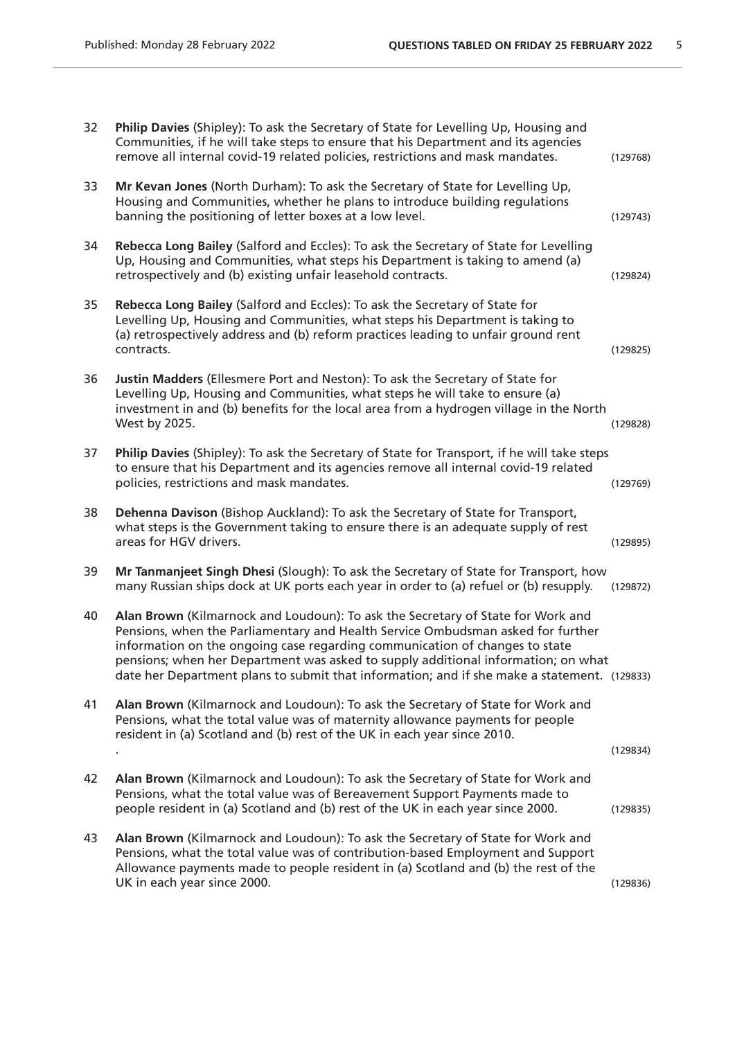| Philip Davies (Shipley): To ask the Secretary of State for Levelling Up, Housing and<br>Communities, if he will take steps to ensure that his Department and its agencies<br>remove all internal covid-19 related policies, restrictions and mask mandates.                                                                                                                                                                           | (129768) |
|---------------------------------------------------------------------------------------------------------------------------------------------------------------------------------------------------------------------------------------------------------------------------------------------------------------------------------------------------------------------------------------------------------------------------------------|----------|
| Mr Kevan Jones (North Durham): To ask the Secretary of State for Levelling Up,<br>Housing and Communities, whether he plans to introduce building regulations<br>banning the positioning of letter boxes at a low level.                                                                                                                                                                                                              | (129743) |
| Rebecca Long Bailey (Salford and Eccles): To ask the Secretary of State for Levelling<br>Up, Housing and Communities, what steps his Department is taking to amend (a)<br>retrospectively and (b) existing unfair leasehold contracts.                                                                                                                                                                                                | (129824) |
| Rebecca Long Bailey (Salford and Eccles): To ask the Secretary of State for<br>Levelling Up, Housing and Communities, what steps his Department is taking to<br>(a) retrospectively address and (b) reform practices leading to unfair ground rent<br>contracts.                                                                                                                                                                      | (129825) |
| Justin Madders (Ellesmere Port and Neston): To ask the Secretary of State for<br>Levelling Up, Housing and Communities, what steps he will take to ensure (a)<br>investment in and (b) benefits for the local area from a hydrogen village in the North<br>West by 2025.                                                                                                                                                              | (129828) |
| Philip Davies (Shipley): To ask the Secretary of State for Transport, if he will take steps<br>to ensure that his Department and its agencies remove all internal covid-19 related<br>policies, restrictions and mask mandates.                                                                                                                                                                                                       | (129769) |
| Dehenna Davison (Bishop Auckland): To ask the Secretary of State for Transport,<br>what steps is the Government taking to ensure there is an adequate supply of rest<br>areas for HGV drivers.                                                                                                                                                                                                                                        | (129895) |
| Mr Tanmanjeet Singh Dhesi (Slough): To ask the Secretary of State for Transport, how<br>many Russian ships dock at UK ports each year in order to (a) refuel or (b) resupply.                                                                                                                                                                                                                                                         | (129872) |
| Alan Brown (Kilmarnock and Loudoun): To ask the Secretary of State for Work and<br>Pensions, when the Parliamentary and Health Service Ombudsman asked for further<br>information on the ongoing case regarding communication of changes to state<br>pensions; when her Department was asked to supply additional information; on what<br>date her Department plans to submit that information; and if she make a statement. (129833) |          |
| Alan Brown (Kilmarnock and Loudoun): To ask the Secretary of State for Work and<br>Pensions, what the total value was of maternity allowance payments for people<br>resident in (a) Scotland and (b) rest of the UK in each year since 2010.                                                                                                                                                                                          | (129834) |
| Alan Brown (Kilmarnock and Loudoun): To ask the Secretary of State for Work and<br>Pensions, what the total value was of Bereavement Support Payments made to<br>people resident in (a) Scotland and (b) rest of the UK in each year since 2000.                                                                                                                                                                                      | (129835) |
| Alan Brown (Kilmarnock and Loudoun): To ask the Secretary of State for Work and<br>Pensions, what the total value was of contribution-based Employment and Support<br>Allowance payments made to people resident in (a) Scotland and (b) the rest of the<br>UK in each year since 2000.                                                                                                                                               | (129836) |
|                                                                                                                                                                                                                                                                                                                                                                                                                                       |          |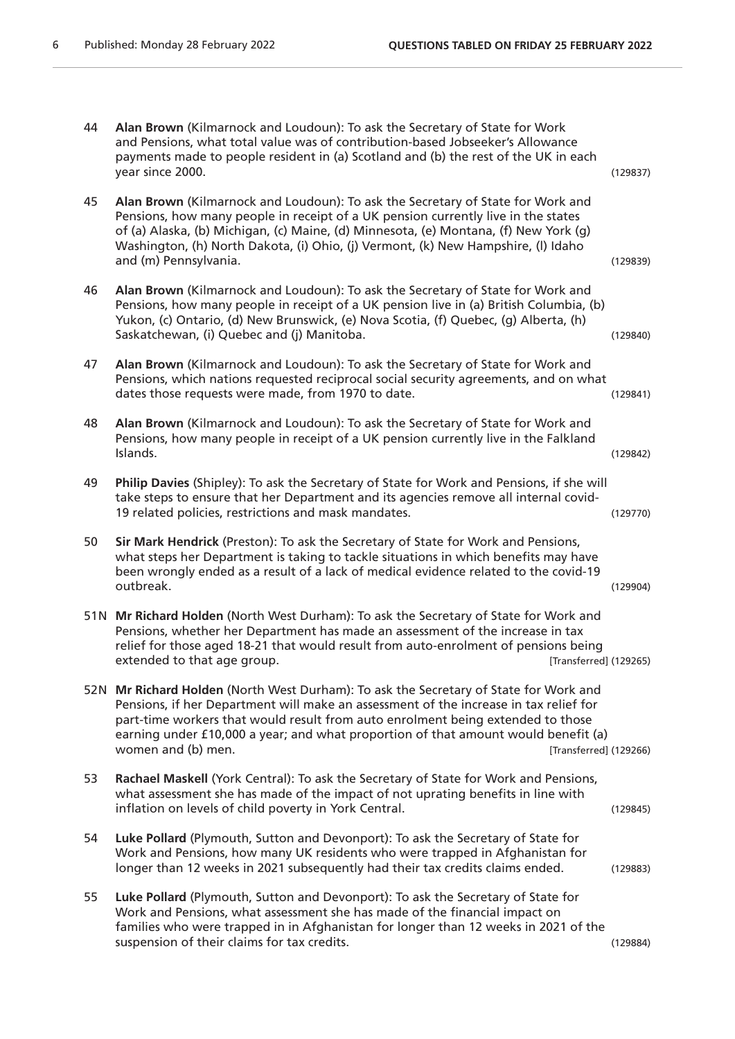| 44 | Alan Brown (Kilmarnock and Loudoun): To ask the Secretary of State for Work<br>and Pensions, what total value was of contribution-based Jobseeker's Allowance<br>payments made to people resident in (a) Scotland and (b) the rest of the UK in each<br>year since 2000.                                                                                                                                | (129837) |
|----|---------------------------------------------------------------------------------------------------------------------------------------------------------------------------------------------------------------------------------------------------------------------------------------------------------------------------------------------------------------------------------------------------------|----------|
| 45 | Alan Brown (Kilmarnock and Loudoun): To ask the Secretary of State for Work and<br>Pensions, how many people in receipt of a UK pension currently live in the states<br>of (a) Alaska, (b) Michigan, (c) Maine, (d) Minnesota, (e) Montana, (f) New York (g)<br>Washington, (h) North Dakota, (i) Ohio, (j) Vermont, (k) New Hampshire, (l) Idaho<br>and (m) Pennsylvania.                              | (129839) |
| 46 | Alan Brown (Kilmarnock and Loudoun): To ask the Secretary of State for Work and<br>Pensions, how many people in receipt of a UK pension live in (a) British Columbia, (b)<br>Yukon, (c) Ontario, (d) New Brunswick, (e) Nova Scotia, (f) Quebec, (g) Alberta, (h)<br>Saskatchewan, (i) Quebec and (j) Manitoba.                                                                                         | (129840) |
| 47 | Alan Brown (Kilmarnock and Loudoun): To ask the Secretary of State for Work and<br>Pensions, which nations requested reciprocal social security agreements, and on what<br>dates those requests were made, from 1970 to date.                                                                                                                                                                           | (129841) |
| 48 | Alan Brown (Kilmarnock and Loudoun): To ask the Secretary of State for Work and<br>Pensions, how many people in receipt of a UK pension currently live in the Falkland<br>Islands.                                                                                                                                                                                                                      | (129842) |
| 49 | Philip Davies (Shipley): To ask the Secretary of State for Work and Pensions, if she will<br>take steps to ensure that her Department and its agencies remove all internal covid-<br>19 related policies, restrictions and mask mandates.                                                                                                                                                               | (129770) |
| 50 | Sir Mark Hendrick (Preston): To ask the Secretary of State for Work and Pensions,<br>what steps her Department is taking to tackle situations in which benefits may have<br>been wrongly ended as a result of a lack of medical evidence related to the covid-19<br>outbreak.                                                                                                                           | (129904) |
|    | 51N Mr Richard Holden (North West Durham): To ask the Secretary of State for Work and<br>Pensions, whether her Department has made an assessment of the increase in tax<br>relief for those aged 18-21 that would result from auto-enrolment of pensions being<br>extended to that age group.<br>[Transferred] (129265)                                                                                 |          |
|    | 52N Mr Richard Holden (North West Durham): To ask the Secretary of State for Work and<br>Pensions, if her Department will make an assessment of the increase in tax relief for<br>part-time workers that would result from auto enrolment being extended to those<br>earning under £10,000 a year; and what proportion of that amount would benefit (a)<br>women and (b) men.<br>[Transferred] (129266) |          |
| 53 | Rachael Maskell (York Central): To ask the Secretary of State for Work and Pensions,<br>what assessment she has made of the impact of not uprating benefits in line with<br>inflation on levels of child poverty in York Central.                                                                                                                                                                       | (129845) |
| 54 | Luke Pollard (Plymouth, Sutton and Devonport): To ask the Secretary of State for<br>Work and Pensions, how many UK residents who were trapped in Afghanistan for<br>longer than 12 weeks in 2021 subsequently had their tax credits claims ended.                                                                                                                                                       | (129883) |
| 55 | Luke Pollard (Plymouth, Sutton and Devonport): To ask the Secretary of State for<br>Work and Pensions, what assessment she has made of the financial impact on<br>families who were trapped in in Afghanistan for longer than 12 weeks in 2021 of the<br>suspension of their claims for tax credits.                                                                                                    | (129884) |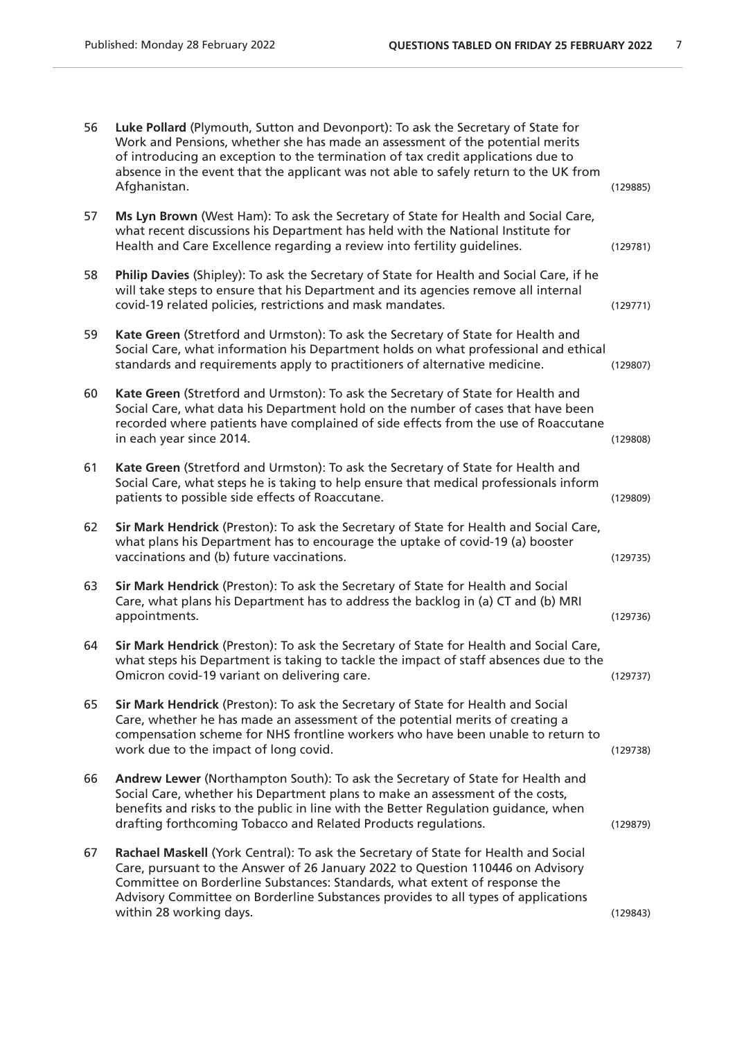| 56 | Luke Pollard (Plymouth, Sutton and Devonport): To ask the Secretary of State for<br>Work and Pensions, whether she has made an assessment of the potential merits<br>of introducing an exception to the termination of tax credit applications due to<br>absence in the event that the applicant was not able to safely return to the UK from<br>Afghanistan.       | (129885) |
|----|---------------------------------------------------------------------------------------------------------------------------------------------------------------------------------------------------------------------------------------------------------------------------------------------------------------------------------------------------------------------|----------|
| 57 | Ms Lyn Brown (West Ham): To ask the Secretary of State for Health and Social Care,<br>what recent discussions his Department has held with the National Institute for<br>Health and Care Excellence regarding a review into fertility guidelines.                                                                                                                   | (129781) |
| 58 | Philip Davies (Shipley): To ask the Secretary of State for Health and Social Care, if he<br>will take steps to ensure that his Department and its agencies remove all internal<br>covid-19 related policies, restrictions and mask mandates.                                                                                                                        | (129771) |
| 59 | Kate Green (Stretford and Urmston): To ask the Secretary of State for Health and<br>Social Care, what information his Department holds on what professional and ethical<br>standards and requirements apply to practitioners of alternative medicine.                                                                                                               | (129807) |
| 60 | Kate Green (Stretford and Urmston): To ask the Secretary of State for Health and<br>Social Care, what data his Department hold on the number of cases that have been<br>recorded where patients have complained of side effects from the use of Roaccutane<br>in each year since 2014.                                                                              | (129808) |
| 61 | Kate Green (Stretford and Urmston): To ask the Secretary of State for Health and<br>Social Care, what steps he is taking to help ensure that medical professionals inform<br>patients to possible side effects of Roaccutane.                                                                                                                                       | (129809) |
| 62 | Sir Mark Hendrick (Preston): To ask the Secretary of State for Health and Social Care,<br>what plans his Department has to encourage the uptake of covid-19 (a) booster<br>vaccinations and (b) future vaccinations.                                                                                                                                                | (129735) |
| 63 | Sir Mark Hendrick (Preston): To ask the Secretary of State for Health and Social<br>Care, what plans his Department has to address the backlog in (a) CT and (b) MRI<br>appointments.                                                                                                                                                                               | (129736) |
| 64 | Sir Mark Hendrick (Preston): To ask the Secretary of State for Health and Social Care,<br>what steps his Department is taking to tackle the impact of staff absences due to the<br>Omicron covid-19 variant on delivering care.                                                                                                                                     | (129737) |
| 65 | Sir Mark Hendrick (Preston): To ask the Secretary of State for Health and Social<br>Care, whether he has made an assessment of the potential merits of creating a<br>compensation scheme for NHS frontline workers who have been unable to return to<br>work due to the impact of long covid.                                                                       | (129738) |
| 66 | Andrew Lewer (Northampton South): To ask the Secretary of State for Health and<br>Social Care, whether his Department plans to make an assessment of the costs,<br>benefits and risks to the public in line with the Better Regulation guidance, when<br>drafting forthcoming Tobacco and Related Products regulations.                                             | (129879) |
| 67 | Rachael Maskell (York Central): To ask the Secretary of State for Health and Social<br>Care, pursuant to the Answer of 26 January 2022 to Question 110446 on Advisory<br>Committee on Borderline Substances: Standards, what extent of response the<br>Advisory Committee on Borderline Substances provides to all types of applications<br>within 28 working days. | (129843) |
|    |                                                                                                                                                                                                                                                                                                                                                                     |          |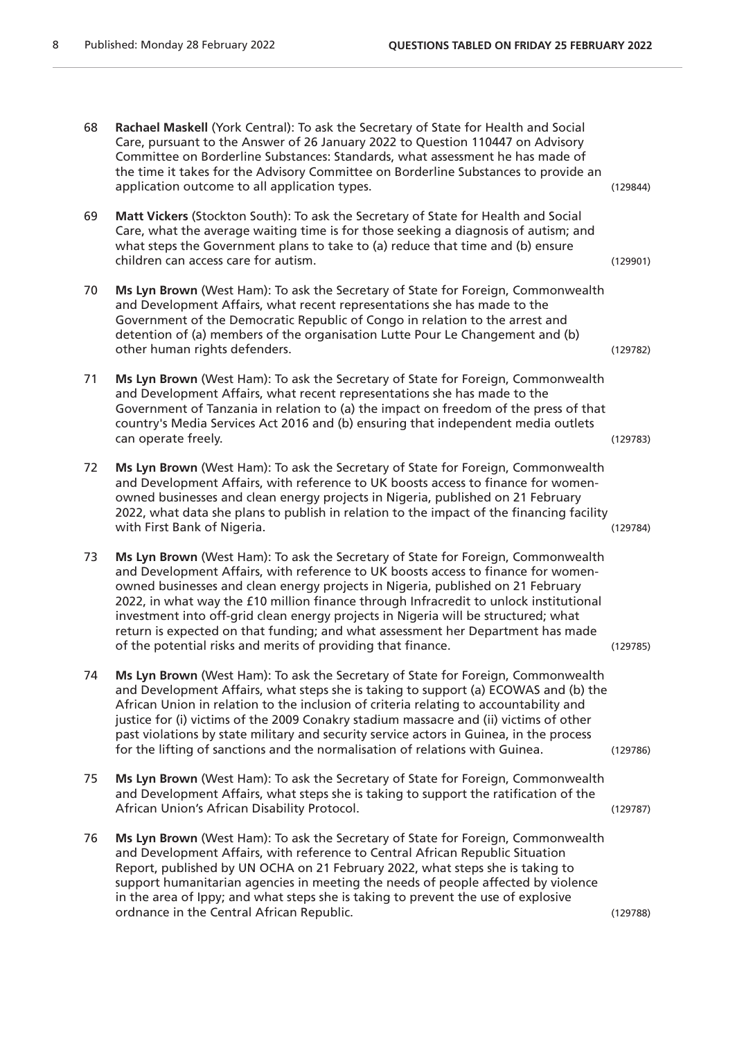| 68 | Rachael Maskell (York Central): To ask the Secretary of State for Health and Social<br>Care, pursuant to the Answer of 26 January 2022 to Question 110447 on Advisory<br>Committee on Borderline Substances: Standards, what assessment he has made of<br>the time it takes for the Advisory Committee on Borderline Substances to provide an<br>application outcome to all application types.                                                                                                                                                                                             | (129844) |
|----|--------------------------------------------------------------------------------------------------------------------------------------------------------------------------------------------------------------------------------------------------------------------------------------------------------------------------------------------------------------------------------------------------------------------------------------------------------------------------------------------------------------------------------------------------------------------------------------------|----------|
| 69 | Matt Vickers (Stockton South): To ask the Secretary of State for Health and Social<br>Care, what the average waiting time is for those seeking a diagnosis of autism; and<br>what steps the Government plans to take to (a) reduce that time and (b) ensure<br>children can access care for autism.                                                                                                                                                                                                                                                                                        | (129901) |
| 70 | Ms Lyn Brown (West Ham): To ask the Secretary of State for Foreign, Commonwealth<br>and Development Affairs, what recent representations she has made to the<br>Government of the Democratic Republic of Congo in relation to the arrest and<br>detention of (a) members of the organisation Lutte Pour Le Changement and (b)<br>other human rights defenders.                                                                                                                                                                                                                             | (129782) |
| 71 | Ms Lyn Brown (West Ham): To ask the Secretary of State for Foreign, Commonwealth<br>and Development Affairs, what recent representations she has made to the<br>Government of Tanzania in relation to (a) the impact on freedom of the press of that<br>country's Media Services Act 2016 and (b) ensuring that independent media outlets<br>can operate freely.                                                                                                                                                                                                                           | (129783) |
| 72 | Ms Lyn Brown (West Ham): To ask the Secretary of State for Foreign, Commonwealth<br>and Development Affairs, with reference to UK boosts access to finance for women-<br>owned businesses and clean energy projects in Nigeria, published on 21 February<br>2022, what data she plans to publish in relation to the impact of the financing facility<br>with First Bank of Nigeria.                                                                                                                                                                                                        | (129784) |
| 73 | Ms Lyn Brown (West Ham): To ask the Secretary of State for Foreign, Commonwealth<br>and Development Affairs, with reference to UK boosts access to finance for women-<br>owned businesses and clean energy projects in Nigeria, published on 21 February<br>2022, in what way the £10 million finance through Infracredit to unlock institutional<br>investment into off-grid clean energy projects in Nigeria will be structured; what<br>return is expected on that funding; and what assessment her Department has made<br>of the potential risks and merits of providing that finance. | (129785) |
| 74 | Ms Lyn Brown (West Ham): To ask the Secretary of State for Foreign, Commonwealth<br>and Development Affairs, what steps she is taking to support (a) ECOWAS and (b) the<br>African Union in relation to the inclusion of criteria relating to accountability and<br>justice for (i) victims of the 2009 Conakry stadium massacre and (ii) victims of other<br>past violations by state military and security service actors in Guinea, in the process<br>for the lifting of sanctions and the normalisation of relations with Guinea.                                                      | (129786) |
| 75 | Ms Lyn Brown (West Ham): To ask the Secretary of State for Foreign, Commonwealth<br>and Development Affairs, what steps she is taking to support the ratification of the<br>African Union's African Disability Protocol.                                                                                                                                                                                                                                                                                                                                                                   | (129787) |
| 76 | Ms Lyn Brown (West Ham): To ask the Secretary of State for Foreign, Commonwealth<br>and Development Affairs, with reference to Central African Republic Situation<br>Report, published by UN OCHA on 21 February 2022, what steps she is taking to<br>support humanitarian agencies in meeting the needs of people affected by violence<br>in the area of Ippy; and what steps she is taking to prevent the use of explosive<br>ordnance in the Central African Republic.                                                                                                                  | (129788) |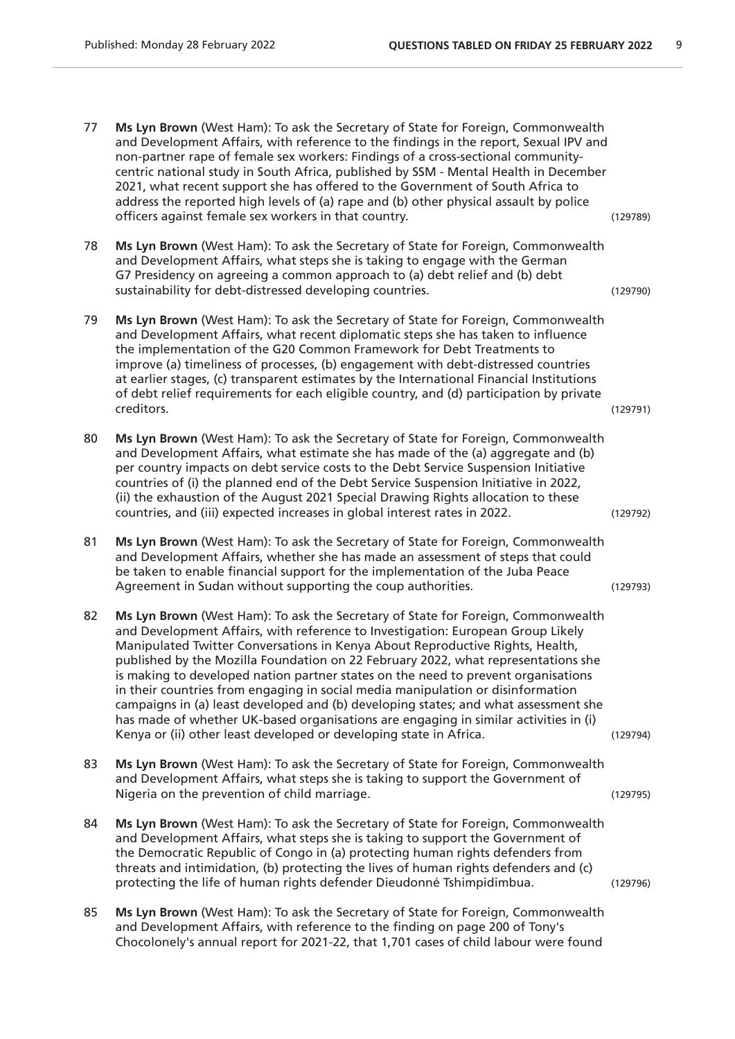- 77 **Ms Lyn Brown** (West Ham): To ask the Secretary of State for Foreign, Commonwealth and Development Affairs, with reference to the findings in the report, Sexual IPV and non-partner rape of female sex workers: Findings of a cross-sectional communitycentric national study in South Africa, published by SSM - Mental Health in December 2021, what recent support she has offered to the Government of South Africa to address the reported high levels of (a) rape and (b) other physical assault by police officers against female sex workers in that country. (129789) 78 **Ms Lyn Brown** (West Ham): To ask the Secretary of State for Foreign, Commonwealth and Development Affairs, what steps she is taking to engage with the German G7 Presidency on agreeing a common approach to (a) debt relief and (b) debt sustainability for debt-distressed developing countries. (129790) 79 **Ms Lyn Brown** (West Ham): To ask the Secretary of State for Foreign, Commonwealth and Development Affairs, what recent diplomatic steps she has taken to influence the implementation of the G20 Common Framework for Debt Treatments to improve (a) timeliness of processes, (b) engagement with debt-distressed countries at earlier stages, (c) transparent estimates by the International Financial Institutions of debt relief requirements for each eligible country, and (d) participation by private creditors. (129791) 80 **Ms Lyn Brown** (West Ham): To ask the Secretary of State for Foreign, Commonwealth and Development Affairs, what estimate she has made of the (a) aggregate and (b) per country impacts on debt service costs to the Debt Service Suspension Initiative countries of (i) the planned end of the Debt Service Suspension Initiative in 2022, (ii) the exhaustion of the August 2021 Special Drawing Rights allocation to these countries, and (iii) expected increases in global interest rates in 2022. (129792) 81 **Ms Lyn Brown** (West Ham): To ask the Secretary of State for Foreign, Commonwealth and Development Affairs, whether she has made an assessment of steps that could be taken to enable financial support for the implementation of the Juba Peace Agreement in Sudan without supporting the coup authorities. (129793) 82 **Ms Lyn Brown** (West Ham): To ask the Secretary of State for Foreign, Commonwealth and Development Affairs, with reference to Investigation: European Group Likely Manipulated Twitter Conversations in Kenya About Reproductive Rights, Health, published by the Mozilla Foundation on 22 February 2022, what representations she is making to developed nation partner states on the need to prevent organisations in their countries from engaging in social media manipulation or disinformation campaigns in (a) least developed and (b) developing states; and what assessment she has made of whether UK-based organisations are engaging in similar activities in (i) Kenya or (ii) other least developed or developing state in Africa. (129794) 83 **Ms Lyn Brown** (West Ham): To ask the Secretary of State for Foreign, Commonwealth and Development Affairs, what steps she is taking to support the Government of Nigeria on the prevention of child marriage. (129795) 84 **Ms Lyn Brown** (West Ham): To ask the Secretary of State for Foreign, Commonwealth and Development Affairs, what steps she is taking to support the Government of the Democratic Republic of Congo in (a) protecting human rights defenders from threats and intimidation, (b) protecting the lives of human rights defenders and (c) protecting the life of human rights defender Dieudonné Tshimpidimbua. (129796) 85 **Ms Lyn Brown** (West Ham): To ask the Secretary of State for Foreign, Commonwealth and Development Affairs, with reference to the finding on page 200 of Tony's
	- Chocolonely's annual report for 2021-22, that 1,701 cases of child labour were found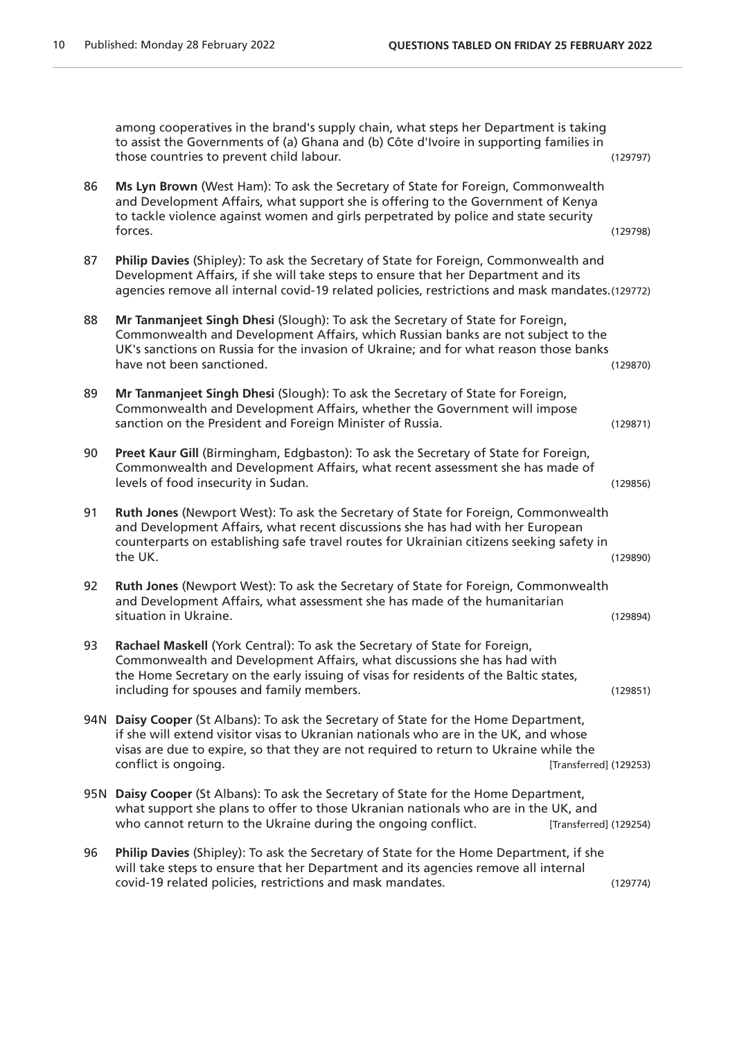among cooperatives in the brand's supply chain, what steps her Department is taking to assist the Governments of (a) Ghana and (b) Côte d'Ivoire in supporting families in those countries to prevent child labour. (129797) 86 **Ms Lyn Brown** (West Ham): To ask the Secretary of State for Foreign, Commonwealth and Development Affairs, what support she is offering to the Government of Kenya to tackle violence against women and girls perpetrated by police and state security forces. (129798) 87 **Philip Davies** (Shipley): To ask the Secretary of State for Foreign, Commonwealth and Development Affairs, if she will take steps to ensure that her Department and its agencies remove all internal covid-19 related policies, restrictions and mask mandates.(129772) 88 **Mr Tanmanjeet Singh Dhesi** (Slough): To ask the Secretary of State for Foreign, Commonwealth and Development Affairs, which Russian banks are not subject to the UK's sanctions on Russia for the invasion of Ukraine; and for what reason those banks have not been sanctioned. (129870) 89 **Mr Tanmanjeet Singh Dhesi** (Slough): To ask the Secretary of State for Foreign, Commonwealth and Development Affairs, whether the Government will impose sanction on the President and Foreign Minister of Russia. (129871) 90 **Preet Kaur Gill** (Birmingham, Edgbaston): To ask the Secretary of State for Foreign, Commonwealth and Development Affairs, what recent assessment she has made of levels of food insecurity in Sudan. (129856) 91 **Ruth Jones** (Newport West): To ask the Secretary of State for Foreign, Commonwealth and Development Affairs, what recent discussions she has had with her European counterparts on establishing safe travel routes for Ukrainian citizens seeking safety in the UK. (129890) 92 **Ruth Jones** (Newport West): To ask the Secretary of State for Foreign, Commonwealth and Development Affairs, what assessment she has made of the humanitarian situation in Ukraine. (129894) 93 **Rachael Maskell** (York Central): To ask the Secretary of State for Foreign, Commonwealth and Development Affairs, what discussions she has had with the Home Secretary on the early issuing of visas for residents of the Baltic states, including for spouses and family members. (129851) 94N **Daisy Cooper** (St Albans): To ask the Secretary of State for the Home Department, if she will extend visitor visas to Ukranian nationals who are in the UK, and whose visas are due to expire, so that they are not required to return to Ukraine while the conflict is ongoing. [Transferred] (129253) 95N **Daisy Cooper** (St Albans): To ask the Secretary of State for the Home Department, what support she plans to offer to those Ukranian nationals who are in the UK, and who cannot return to the Ukraine during the ongoing conflict. [Transferred] (129254) 96 **Philip Davies** (Shipley): To ask the Secretary of State for the Home Department, if she will take steps to ensure that her Department and its agencies remove all internal covid-19 related policies, restrictions and mask mandates. (129774)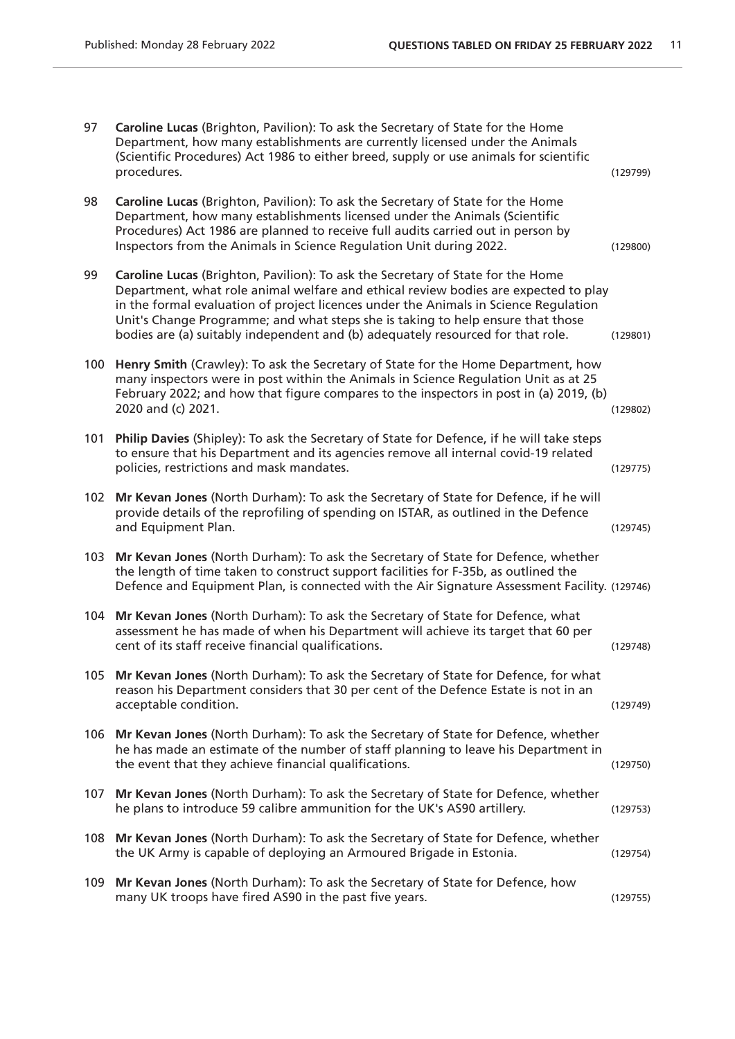| 97  | Caroline Lucas (Brighton, Pavilion): To ask the Secretary of State for the Home<br>Department, how many establishments are currently licensed under the Animals<br>(Scientific Procedures) Act 1986 to either breed, supply or use animals for scientific<br>procedures.                                                                                                                                                             | (129799) |
|-----|--------------------------------------------------------------------------------------------------------------------------------------------------------------------------------------------------------------------------------------------------------------------------------------------------------------------------------------------------------------------------------------------------------------------------------------|----------|
| 98  | Caroline Lucas (Brighton, Pavilion): To ask the Secretary of State for the Home<br>Department, how many establishments licensed under the Animals (Scientific<br>Procedures) Act 1986 are planned to receive full audits carried out in person by<br>Inspectors from the Animals in Science Regulation Unit during 2022.                                                                                                             | (129800) |
| 99  | Caroline Lucas (Brighton, Pavilion): To ask the Secretary of State for the Home<br>Department, what role animal welfare and ethical review bodies are expected to play<br>in the formal evaluation of project licences under the Animals in Science Regulation<br>Unit's Change Programme; and what steps she is taking to help ensure that those<br>bodies are (a) suitably independent and (b) adequately resourced for that role. | (129801) |
| 100 | Henry Smith (Crawley): To ask the Secretary of State for the Home Department, how<br>many inspectors were in post within the Animals in Science Regulation Unit as at 25<br>February 2022; and how that figure compares to the inspectors in post in (a) 2019, (b)<br>2020 and (c) 2021.                                                                                                                                             | (129802) |
| 101 | Philip Davies (Shipley): To ask the Secretary of State for Defence, if he will take steps<br>to ensure that his Department and its agencies remove all internal covid-19 related<br>policies, restrictions and mask mandates.                                                                                                                                                                                                        | (129775) |
| 102 | Mr Kevan Jones (North Durham): To ask the Secretary of State for Defence, if he will<br>provide details of the reprofiling of spending on ISTAR, as outlined in the Defence<br>and Equipment Plan.                                                                                                                                                                                                                                   | (129745) |
| 103 | Mr Kevan Jones (North Durham): To ask the Secretary of State for Defence, whether<br>the length of time taken to construct support facilities for F-35b, as outlined the<br>Defence and Equipment Plan, is connected with the Air Signature Assessment Facility. (129746)                                                                                                                                                            |          |
| 104 | Mr Kevan Jones (North Durham): To ask the Secretary of State for Defence, what<br>assessment he has made of when his Department will achieve its target that 60 per<br>cent of its staff receive financial qualifications.                                                                                                                                                                                                           | (129748) |
|     | 105 Mr Kevan Jones (North Durham): To ask the Secretary of State for Defence, for what<br>reason his Department considers that 30 per cent of the Defence Estate is not in an<br>acceptable condition.                                                                                                                                                                                                                               | (129749) |
| 106 | Mr Kevan Jones (North Durham): To ask the Secretary of State for Defence, whether<br>he has made an estimate of the number of staff planning to leave his Department in<br>the event that they achieve financial qualifications.                                                                                                                                                                                                     | (129750) |
| 107 | Mr Kevan Jones (North Durham): To ask the Secretary of State for Defence, whether<br>he plans to introduce 59 calibre ammunition for the UK's AS90 artillery.                                                                                                                                                                                                                                                                        | (129753) |
|     | 108 Mr Kevan Jones (North Durham): To ask the Secretary of State for Defence, whether<br>the UK Army is capable of deploying an Armoured Brigade in Estonia.                                                                                                                                                                                                                                                                         | (129754) |
| 109 | Mr Kevan Jones (North Durham): To ask the Secretary of State for Defence, how<br>many UK troops have fired AS90 in the past five years.                                                                                                                                                                                                                                                                                              | (129755) |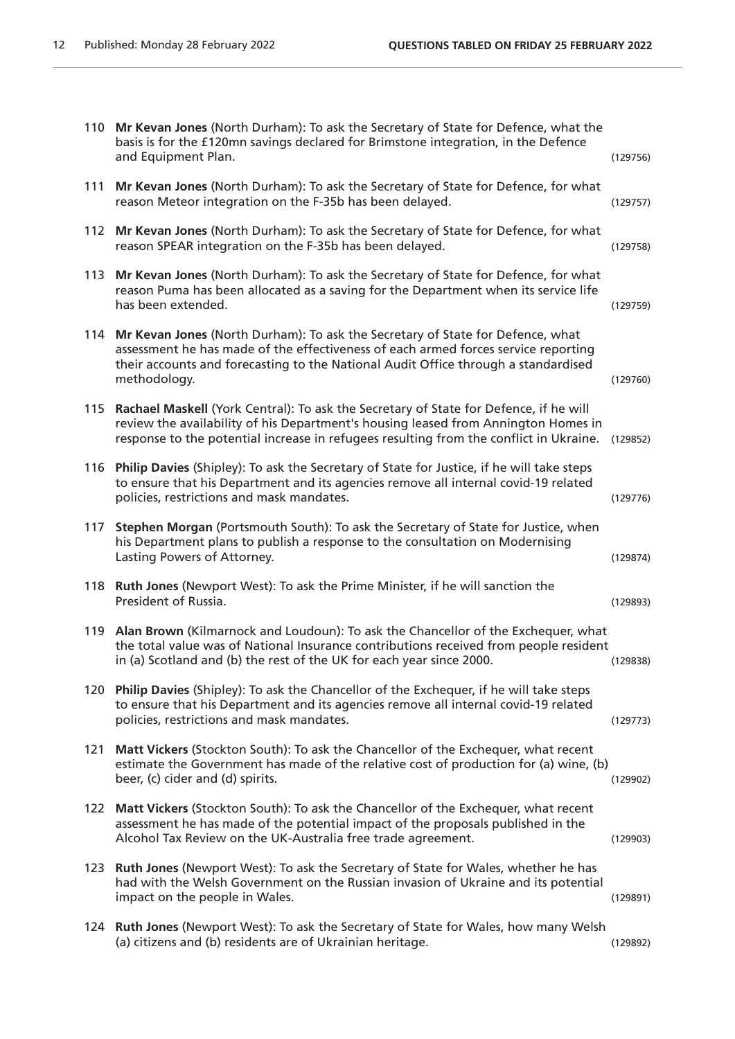|     | 110 Mr Kevan Jones (North Durham): To ask the Secretary of State for Defence, what the<br>basis is for the £120mn savings declared for Brimstone integration, in the Defence<br>and Equipment Plan.                                                                            | (129756) |
|-----|--------------------------------------------------------------------------------------------------------------------------------------------------------------------------------------------------------------------------------------------------------------------------------|----------|
| 111 | Mr Kevan Jones (North Durham): To ask the Secretary of State for Defence, for what<br>reason Meteor integration on the F-35b has been delayed.                                                                                                                                 | (129757) |
|     | 112 Mr Kevan Jones (North Durham): To ask the Secretary of State for Defence, for what<br>reason SPEAR integration on the F-35b has been delayed.                                                                                                                              | (129758) |
|     | 113 Mr Kevan Jones (North Durham): To ask the Secretary of State for Defence, for what<br>reason Puma has been allocated as a saving for the Department when its service life<br>has been extended.                                                                            | (129759) |
|     | 114 Mr Kevan Jones (North Durham): To ask the Secretary of State for Defence, what<br>assessment he has made of the effectiveness of each armed forces service reporting<br>their accounts and forecasting to the National Audit Office through a standardised<br>methodology. | (129760) |
| 115 | Rachael Maskell (York Central): To ask the Secretary of State for Defence, if he will<br>review the availability of his Department's housing leased from Annington Homes in<br>response to the potential increase in refugees resulting from the conflict in Ukraine.          | (129852) |
| 116 | Philip Davies (Shipley): To ask the Secretary of State for Justice, if he will take steps<br>to ensure that his Department and its agencies remove all internal covid-19 related<br>policies, restrictions and mask mandates.                                                  | (129776) |
| 117 | Stephen Morgan (Portsmouth South): To ask the Secretary of State for Justice, when<br>his Department plans to publish a response to the consultation on Modernising<br>Lasting Powers of Attorney.                                                                             | (129874) |
| 118 | Ruth Jones (Newport West): To ask the Prime Minister, if he will sanction the<br>President of Russia.                                                                                                                                                                          | (129893) |
| 119 | Alan Brown (Kilmarnock and Loudoun): To ask the Chancellor of the Exchequer, what<br>the total value was of National Insurance contributions received from people resident<br>in (a) Scotland and (b) the rest of the UK for each year since 2000.                             | (129838) |
|     | 120 Philip Davies (Shipley): To ask the Chancellor of the Exchequer, if he will take steps<br>to ensure that his Department and its agencies remove all internal covid-19 related<br>policies, restrictions and mask mandates.                                                 | (129773) |
| 121 | Matt Vickers (Stockton South): To ask the Chancellor of the Exchequer, what recent<br>estimate the Government has made of the relative cost of production for (a) wine, (b)<br>beer, (c) cider and (d) spirits.                                                                | (129902) |
| 122 | Matt Vickers (Stockton South): To ask the Chancellor of the Exchequer, what recent<br>assessment he has made of the potential impact of the proposals published in the<br>Alcohol Tax Review on the UK-Australia free trade agreement.                                         | (129903) |
| 123 | Ruth Jones (Newport West): To ask the Secretary of State for Wales, whether he has<br>had with the Welsh Government on the Russian invasion of Ukraine and its potential<br>impact on the people in Wales.                                                                     | (129891) |
|     | 124 Ruth Jones (Newport West): To ask the Secretary of State for Wales, how many Welsh<br>(a) citizens and (b) residents are of Ukrainian heritage.                                                                                                                            | (129892) |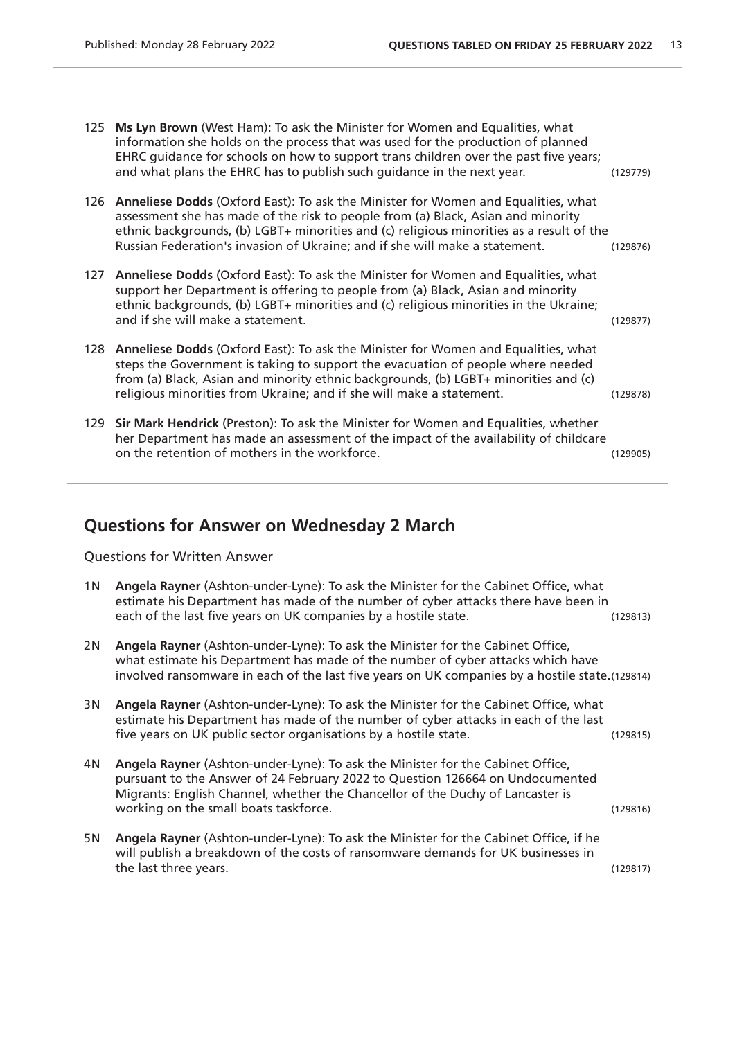- 125 **Ms Lyn Brown** (West Ham): To ask the Minister for Women and Equalities, what information she holds on the process that was used for the production of planned EHRC guidance for schools on how to support trans children over the past five years; and what plans the EHRC has to publish such guidance in the next year. (129779)
- 126 **Anneliese Dodds** (Oxford East): To ask the Minister for Women and Equalities, what assessment she has made of the risk to people from (a) Black, Asian and minority ethnic backgrounds, (b) LGBT+ minorities and (c) religious minorities as a result of the Russian Federation's invasion of Ukraine; and if she will make a statement. (129876)
- 127 **Anneliese Dodds** (Oxford East): To ask the Minister for Women and Equalities, what support her Department is offering to people from (a) Black, Asian and minority ethnic backgrounds, (b) LGBT+ minorities and (c) religious minorities in the Ukraine; and if she will make a statement. (129877)
- 128 **Anneliese Dodds** (Oxford East): To ask the Minister for Women and Equalities, what steps the Government is taking to support the evacuation of people where needed from (a) Black, Asian and minority ethnic backgrounds, (b) LGBT+ minorities and (c) religious minorities from Ukraine; and if she will make a statement. (129878)
- 129 **Sir Mark Hendrick** (Preston): To ask the Minister for Women and Equalities, whether her Department has made an assessment of the impact of the availability of childcare on the retention of mothers in the workforce. (129905)

#### **Questions for Answer on Wednesday 2 March**

Questions for Written Answer

| 1 N | Angela Rayner (Ashton-under-Lyne): To ask the Minister for the Cabinet Office, what<br>estimate his Department has made of the number of cyber attacks there have been in<br>each of the last five years on UK companies by a hostile state.                                               | (129813) |
|-----|--------------------------------------------------------------------------------------------------------------------------------------------------------------------------------------------------------------------------------------------------------------------------------------------|----------|
| 2N  | Angela Rayner (Ashton-under-Lyne): To ask the Minister for the Cabinet Office,<br>what estimate his Department has made of the number of cyber attacks which have<br>involved ransomware in each of the last five years on UK companies by a hostile state.(129814)                        |          |
| 3N  | Angela Rayner (Ashton-under-Lyne): To ask the Minister for the Cabinet Office, what<br>estimate his Department has made of the number of cyber attacks in each of the last<br>five years on UK public sector organisations by a hostile state.                                             | (129815) |
| 4N  | Angela Rayner (Ashton-under-Lyne): To ask the Minister for the Cabinet Office,<br>pursuant to the Answer of 24 February 2022 to Question 126664 on Undocumented<br>Migrants: English Channel, whether the Chancellor of the Duchy of Lancaster is<br>working on the small boats taskforce. | (129816) |
| 5N  | Angela Rayner (Ashton-under-Lyne): To ask the Minister for the Cabinet Office, if he<br>will publish a breakdown of the costs of ransomware demands for UK businesses in<br>the last three years.                                                                                          | (129817) |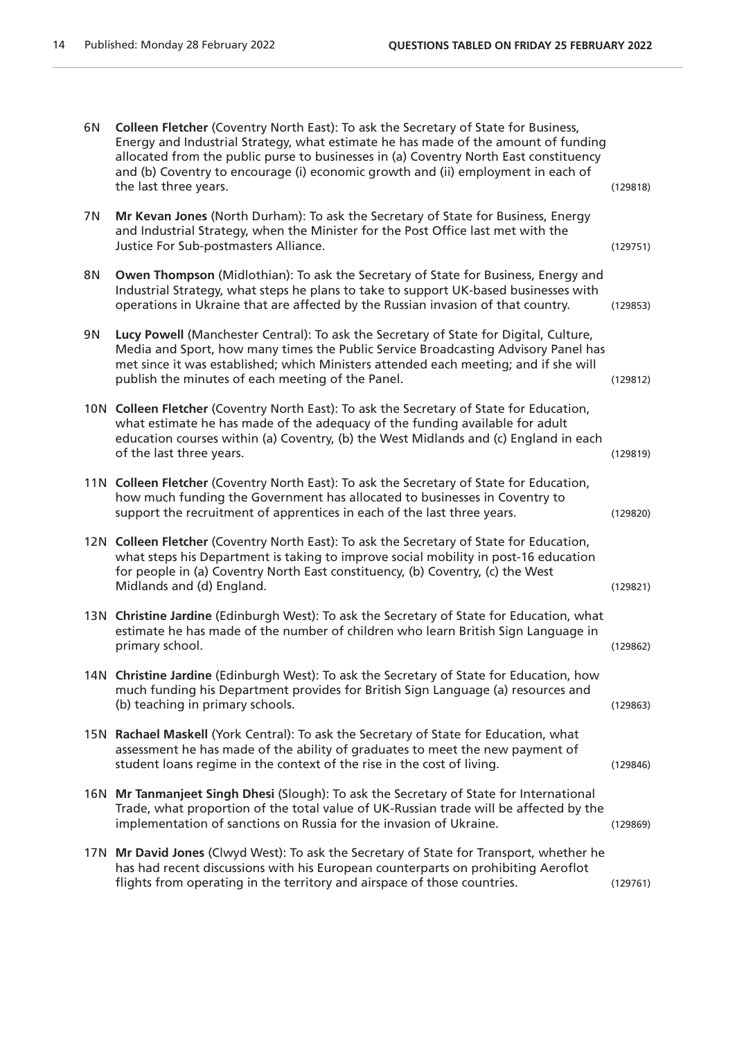| 6N  | Colleen Fletcher (Coventry North East): To ask the Secretary of State for Business,<br>Energy and Industrial Strategy, what estimate he has made of the amount of funding<br>allocated from the public purse to businesses in (a) Coventry North East constituency<br>and (b) Coventry to encourage (i) economic growth and (ii) employment in each of<br>the last three years. | (129818) |
|-----|---------------------------------------------------------------------------------------------------------------------------------------------------------------------------------------------------------------------------------------------------------------------------------------------------------------------------------------------------------------------------------|----------|
| 7 N | Mr Kevan Jones (North Durham): To ask the Secretary of State for Business, Energy<br>and Industrial Strategy, when the Minister for the Post Office last met with the<br>Justice For Sub-postmasters Alliance.                                                                                                                                                                  | (129751) |
| 8N  | Owen Thompson (Midlothian): To ask the Secretary of State for Business, Energy and<br>Industrial Strategy, what steps he plans to take to support UK-based businesses with<br>operations in Ukraine that are affected by the Russian invasion of that country.                                                                                                                  | (129853) |
| 9N  | Lucy Powell (Manchester Central): To ask the Secretary of State for Digital, Culture,<br>Media and Sport, how many times the Public Service Broadcasting Advisory Panel has<br>met since it was established; which Ministers attended each meeting; and if she will<br>publish the minutes of each meeting of the Panel.                                                        | (129812) |
|     | 10N Colleen Fletcher (Coventry North East): To ask the Secretary of State for Education,<br>what estimate he has made of the adequacy of the funding available for adult<br>education courses within (a) Coventry, (b) the West Midlands and (c) England in each<br>of the last three years.                                                                                    | (129819) |
|     | 11N Colleen Fletcher (Coventry North East): To ask the Secretary of State for Education,<br>how much funding the Government has allocated to businesses in Coventry to<br>support the recruitment of apprentices in each of the last three years.                                                                                                                               | (129820) |
|     | 12N Colleen Fletcher (Coventry North East): To ask the Secretary of State for Education,<br>what steps his Department is taking to improve social mobility in post-16 education<br>for people in (a) Coventry North East constituency, (b) Coventry, (c) the West<br>Midlands and (d) England.                                                                                  | (129821) |
|     | 13N Christine Jardine (Edinburgh West): To ask the Secretary of State for Education, what<br>estimate he has made of the number of children who learn British Sign Language in<br>primary school.                                                                                                                                                                               | (129862) |
|     | 14N Christine Jardine (Edinburgh West): To ask the Secretary of State for Education, how<br>much funding his Department provides for British Sign Language (a) resources and<br>(b) teaching in primary schools.                                                                                                                                                                | (129863) |
|     | 15N Rachael Maskell (York Central): To ask the Secretary of State for Education, what<br>assessment he has made of the ability of graduates to meet the new payment of<br>student loans regime in the context of the rise in the cost of living.                                                                                                                                | (129846) |
|     | 16N Mr Tanmanjeet Singh Dhesi (Slough): To ask the Secretary of State for International<br>Trade, what proportion of the total value of UK-Russian trade will be affected by the<br>implementation of sanctions on Russia for the invasion of Ukraine.                                                                                                                          | (129869) |
|     | 17N Mr David Jones (Clwyd West): To ask the Secretary of State for Transport, whether he<br>has had recent discussions with his European counterparts on prohibiting Aeroflot<br>flights from operating in the territory and airspace of those countries.                                                                                                                       | (129761) |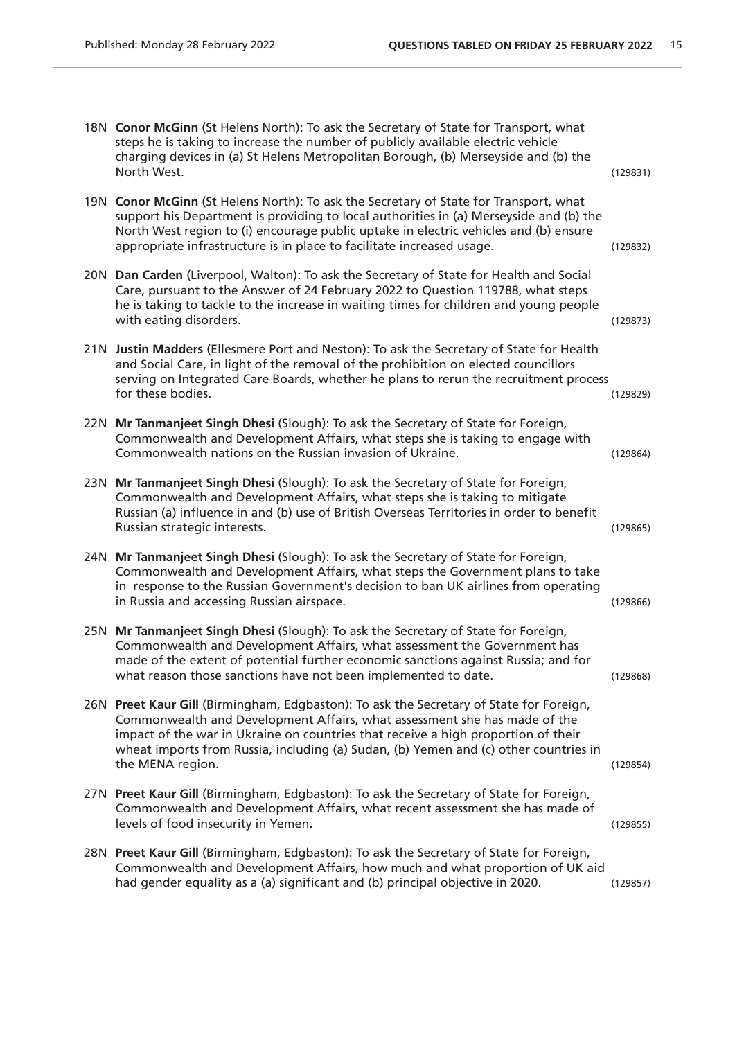|     | 18N Conor McGinn (St Helens North): To ask the Secretary of State for Transport, what<br>steps he is taking to increase the number of publicly available electric vehicle<br>charging devices in (a) St Helens Metropolitan Borough, (b) Merseyside and (b) the<br>North West.                                                                                        | (129831) |
|-----|-----------------------------------------------------------------------------------------------------------------------------------------------------------------------------------------------------------------------------------------------------------------------------------------------------------------------------------------------------------------------|----------|
|     | 19N Conor McGinn (St Helens North): To ask the Secretary of State for Transport, what<br>support his Department is providing to local authorities in (a) Merseyside and (b) the<br>North West region to (i) encourage public uptake in electric vehicles and (b) ensure<br>appropriate infrastructure is in place to facilitate increased usage.                      | (129832) |
|     | 20N Dan Carden (Liverpool, Walton): To ask the Secretary of State for Health and Social<br>Care, pursuant to the Answer of 24 February 2022 to Question 119788, what steps<br>he is taking to tackle to the increase in waiting times for children and young people<br>with eating disorders.                                                                         | (129873) |
|     | 21N Justin Madders (Ellesmere Port and Neston): To ask the Secretary of State for Health<br>and Social Care, in light of the removal of the prohibition on elected councillors<br>serving on Integrated Care Boards, whether he plans to rerun the recruitment process<br>for these bodies.                                                                           | (129829) |
| 22N | Mr Tanmanjeet Singh Dhesi (Slough): To ask the Secretary of State for Foreign,<br>Commonwealth and Development Affairs, what steps she is taking to engage with<br>Commonwealth nations on the Russian invasion of Ukraine.                                                                                                                                           | (129864) |
|     | 23N Mr Tanmanjeet Singh Dhesi (Slough): To ask the Secretary of State for Foreign,<br>Commonwealth and Development Affairs, what steps she is taking to mitigate<br>Russian (a) influence in and (b) use of British Overseas Territories in order to benefit<br>Russian strategic interests.                                                                          | (129865) |
|     | 24N Mr Tanmanjeet Singh Dhesi (Slough): To ask the Secretary of State for Foreign,<br>Commonwealth and Development Affairs, what steps the Government plans to take<br>in response to the Russian Government's decision to ban UK airlines from operating<br>in Russia and accessing Russian airspace.                                                                | (129866) |
| 25N | Mr Tanmanjeet Singh Dhesi (Slough): To ask the Secretary of State for Foreign,<br>Commonwealth and Development Affairs, what assessment the Government has<br>made of the extent of potential further economic sanctions against Russia; and for<br>what reason those sanctions have not been implemented to date.                                                    | (129868) |
|     | 26N Preet Kaur Gill (Birmingham, Edgbaston): To ask the Secretary of State for Foreign,<br>Commonwealth and Development Affairs, what assessment she has made of the<br>impact of the war in Ukraine on countries that receive a high proportion of their<br>wheat imports from Russia, including (a) Sudan, (b) Yemen and (c) other countries in<br>the MENA region. | (129854) |
|     | 27N Preet Kaur Gill (Birmingham, Edgbaston): To ask the Secretary of State for Foreign,<br>Commonwealth and Development Affairs, what recent assessment she has made of<br>levels of food insecurity in Yemen.                                                                                                                                                        | (129855) |
|     | 28N Preet Kaur Gill (Birmingham, Edgbaston): To ask the Secretary of State for Foreign,<br>Commonwealth and Development Affairs, how much and what proportion of UK aid<br>had gender equality as a (a) significant and (b) principal objective in 2020.                                                                                                              | (129857) |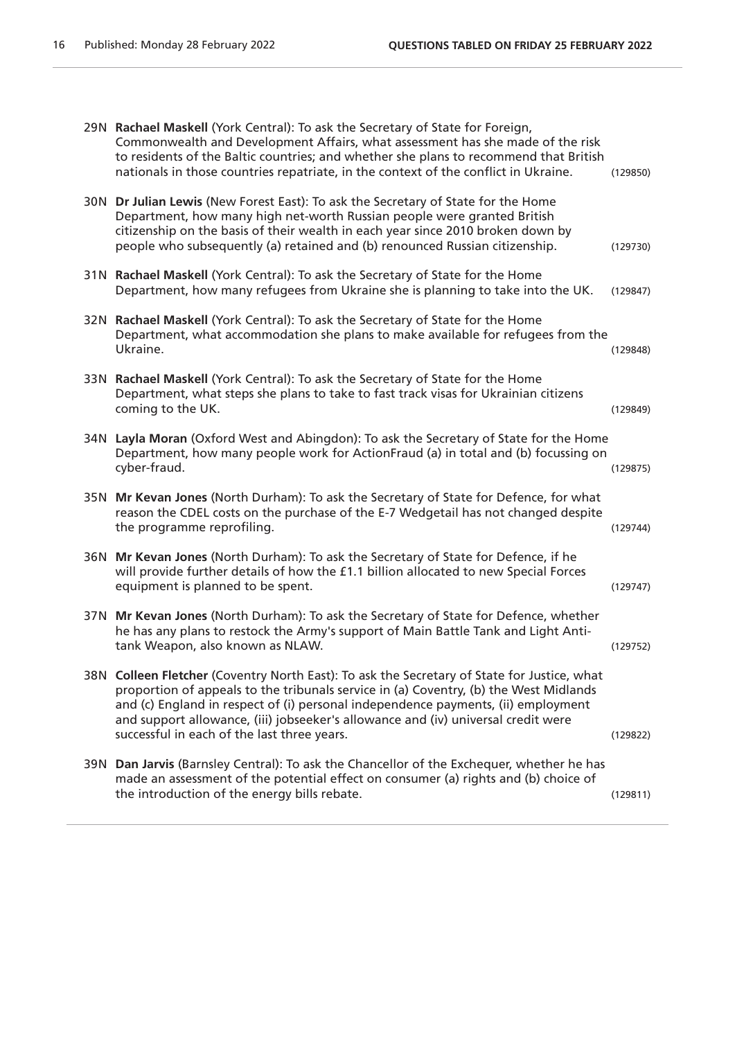|     | 29N Rachael Maskell (York Central): To ask the Secretary of State for Foreign,<br>Commonwealth and Development Affairs, what assessment has she made of the risk<br>to residents of the Baltic countries; and whether she plans to recommend that British<br>nationals in those countries repatriate, in the context of the conflict in Ukraine.                                                              | (129850) |
|-----|---------------------------------------------------------------------------------------------------------------------------------------------------------------------------------------------------------------------------------------------------------------------------------------------------------------------------------------------------------------------------------------------------------------|----------|
|     | 30N Dr Julian Lewis (New Forest East): To ask the Secretary of State for the Home<br>Department, how many high net-worth Russian people were granted British<br>citizenship on the basis of their wealth in each year since 2010 broken down by<br>people who subsequently (a) retained and (b) renounced Russian citizenship.                                                                                | (129730) |
|     | 31N Rachael Maskell (York Central): To ask the Secretary of State for the Home<br>Department, how many refugees from Ukraine she is planning to take into the UK.                                                                                                                                                                                                                                             | (129847) |
| 32N | Rachael Maskell (York Central): To ask the Secretary of State for the Home<br>Department, what accommodation she plans to make available for refugees from the<br>Ukraine.                                                                                                                                                                                                                                    | (129848) |
| 33N | Rachael Maskell (York Central): To ask the Secretary of State for the Home<br>Department, what steps she plans to take to fast track visas for Ukrainian citizens<br>coming to the UK.                                                                                                                                                                                                                        | (129849) |
| 34N | Layla Moran (Oxford West and Abingdon): To ask the Secretary of State for the Home<br>Department, how many people work for ActionFraud (a) in total and (b) focussing on<br>cyber-fraud.                                                                                                                                                                                                                      | (129875) |
| 35N | Mr Kevan Jones (North Durham): To ask the Secretary of State for Defence, for what<br>reason the CDEL costs on the purchase of the E-7 Wedgetail has not changed despite<br>the programme reprofiling.                                                                                                                                                                                                        | (129744) |
| 36N | Mr Kevan Jones (North Durham): To ask the Secretary of State for Defence, if he<br>will provide further details of how the £1.1 billion allocated to new Special Forces<br>equipment is planned to be spent.                                                                                                                                                                                                  | (129747) |
|     | 37N Mr Kevan Jones (North Durham): To ask the Secretary of State for Defence, whether<br>he has any plans to restock the Army's support of Main Battle Tank and Light Anti-<br>tank Weapon, also known as NLAW.                                                                                                                                                                                               | (129752) |
|     | 38N Colleen Fletcher (Coventry North East): To ask the Secretary of State for Justice, what<br>proportion of appeals to the tribunals service in (a) Coventry, (b) the West Midlands<br>and (c) England in respect of (i) personal independence payments, (ii) employment<br>and support allowance, (iii) jobseeker's allowance and (iv) universal credit were<br>successful in each of the last three years. | (129822) |
|     | 39N Dan Jarvis (Barnsley Central): To ask the Chancellor of the Exchequer, whether he has<br>made an assessment of the potential effect on consumer (a) rights and (b) choice of<br>the introduction of the energy bills rebate.                                                                                                                                                                              | (129811) |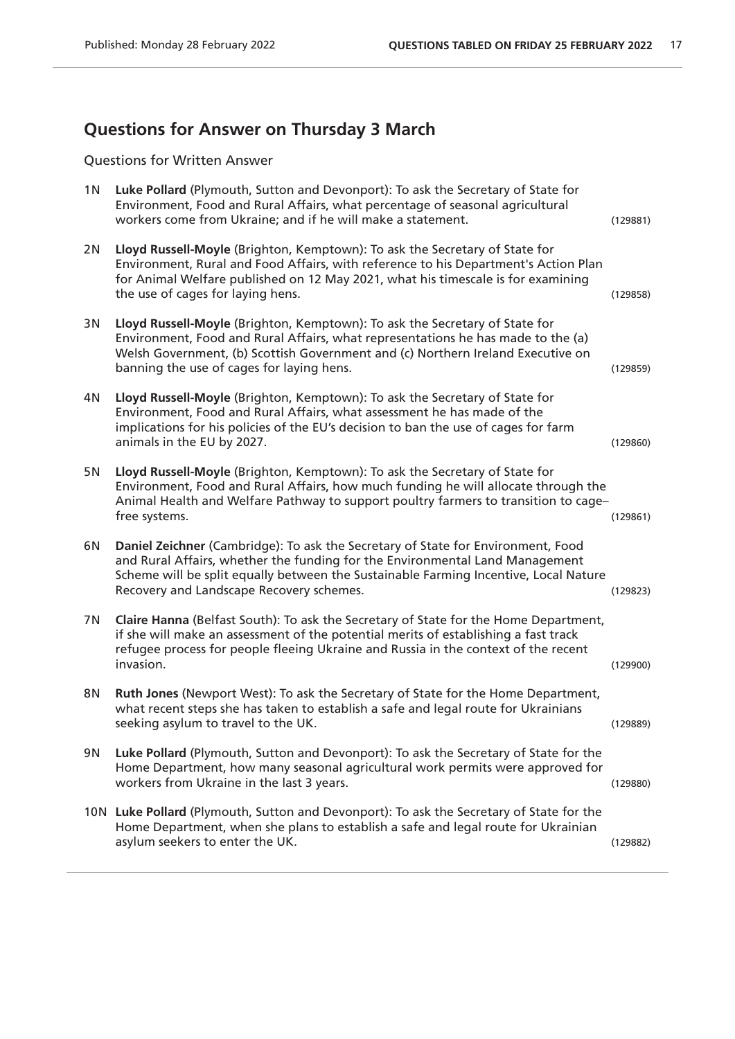# **Questions for Answer on Thursday 3 March**

Questions for Written Answer

| 1 <sub>N</sub> | Luke Pollard (Plymouth, Sutton and Devonport): To ask the Secretary of State for<br>Environment, Food and Rural Affairs, what percentage of seasonal agricultural<br>workers come from Ukraine; and if he will make a statement.                                                                     | (129881) |
|----------------|------------------------------------------------------------------------------------------------------------------------------------------------------------------------------------------------------------------------------------------------------------------------------------------------------|----------|
| 2N             | Lloyd Russell-Moyle (Brighton, Kemptown): To ask the Secretary of State for<br>Environment, Rural and Food Affairs, with reference to his Department's Action Plan<br>for Animal Welfare published on 12 May 2021, what his timescale is for examining<br>the use of cages for laying hens.          | (129858) |
| 3N             | Lloyd Russell-Moyle (Brighton, Kemptown): To ask the Secretary of State for<br>Environment, Food and Rural Affairs, what representations he has made to the (a)<br>Welsh Government, (b) Scottish Government and (c) Northern Ireland Executive on<br>banning the use of cages for laying hens.      | (129859) |
| 4N             | Lloyd Russell-Moyle (Brighton, Kemptown): To ask the Secretary of State for<br>Environment, Food and Rural Affairs, what assessment he has made of the<br>implications for his policies of the EU's decision to ban the use of cages for farm<br>animals in the EU by 2027.                          | (129860) |
| 5N             | Lloyd Russell-Moyle (Brighton, Kemptown): To ask the Secretary of State for<br>Environment, Food and Rural Affairs, how much funding he will allocate through the<br>Animal Health and Welfare Pathway to support poultry farmers to transition to cage-<br>free systems.                            | (129861) |
| 6N             | Daniel Zeichner (Cambridge): To ask the Secretary of State for Environment, Food<br>and Rural Affairs, whether the funding for the Environmental Land Management<br>Scheme will be split equally between the Sustainable Farming Incentive, Local Nature<br>Recovery and Landscape Recovery schemes. | (129823) |
| 7N             | Claire Hanna (Belfast South): To ask the Secretary of State for the Home Department,<br>if she will make an assessment of the potential merits of establishing a fast track<br>refugee process for people fleeing Ukraine and Russia in the context of the recent<br>invasion.                       | (129900) |
| 8N             | Ruth Jones (Newport West): To ask the Secretary of State for the Home Department,<br>what recent steps she has taken to establish a safe and legal route for Ukrainians<br>seeking asylum to travel to the UK.                                                                                       | (129889) |
| 9N             | Luke Pollard (Plymouth, Sutton and Devonport): To ask the Secretary of State for the<br>Home Department, how many seasonal agricultural work permits were approved for<br>workers from Ukraine in the last 3 years.                                                                                  | (129880) |
|                | 10N Luke Pollard (Plymouth, Sutton and Devonport): To ask the Secretary of State for the<br>Home Department, when she plans to establish a safe and legal route for Ukrainian<br>asylum seekers to enter the UK.                                                                                     | (129882) |
|                |                                                                                                                                                                                                                                                                                                      |          |